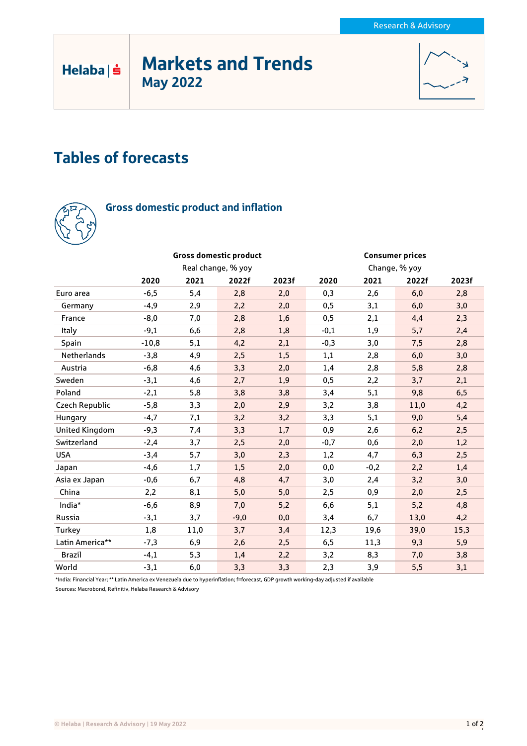# Markets and Trends May 2022



# Tables of forecasts



 $Helaba| \dot{S}$ 

## Gross domestic product and inflation

|                       |                    |      | <b>Gross domestic product</b> |       | <b>Consumer prices</b> |        |       |       |
|-----------------------|--------------------|------|-------------------------------|-------|------------------------|--------|-------|-------|
|                       | Real change, % yoy |      |                               |       | Change, % yoy          |        |       |       |
|                       | 2020               | 2021 | 2022f                         | 2023f | 2020                   | 2021   | 2022f | 2023f |
| Euro area             | $-6,5$             | 5,4  | 2,8                           | 2,0   | 0,3                    | 2,6    | 6,0   | 2,8   |
| Germany               | $-4,9$             | 2,9  | 2,2                           | 2,0   | 0,5                    | 3,1    | 6,0   | 3,0   |
| France                | $-8,0$             | 7,0  | 2,8                           | 1,6   | 0,5                    | 2,1    | 4,4   | 2,3   |
| Italy                 | $-9,1$             | 6,6  | 2,8                           | 1,8   | $-0,1$                 | 1,9    | 5,7   | 2,4   |
| Spain                 | $-10,8$            | 5,1  | 4,2                           | 2,1   | $-0,3$                 | 3,0    | 7,5   | 2,8   |
| Netherlands           | $-3,8$             | 4,9  | 2,5                           | 1,5   | 1,1                    | 2,8    | 6,0   | 3,0   |
| Austria               | $-6,8$             | 4,6  | 3,3                           | 2,0   | 1,4                    | 2,8    | 5,8   | 2,8   |
| Sweden                | $-3,1$             | 4,6  | 2,7                           | 1,9   | 0,5                    | 2,2    | 3,7   | 2,1   |
| Poland                | $-2,1$             | 5,8  | 3,8                           | 3,8   | 3,4                    | 5,1    | 9,8   | 6,5   |
| Czech Republic        | $-5,8$             | 3,3  | 2,0                           | 2,9   | 3,2                    | 3,8    | 11,0  | 4,2   |
| Hungary               | $-4,7$             | 7,1  | 3,2                           | 3,2   | 3,3                    | 5,1    | 9,0   | 5,4   |
| <b>United Kingdom</b> | $-9,3$             | 7,4  | 3,3                           | 1,7   | 0,9                    | 2,6    | 6,2   | 2,5   |
| Switzerland           | $-2,4$             | 3,7  | 2,5                           | 2,0   | $-0,7$                 | 0,6    | 2,0   | 1,2   |
| <b>USA</b>            | $-3,4$             | 5,7  | 3,0                           | 2,3   | 1,2                    | 4,7    | 6,3   | 2,5   |
| Japan                 | $-4,6$             | 1,7  | 1,5                           | 2,0   | 0,0                    | $-0,2$ | 2,2   | 1,4   |
| Asia ex Japan         | $-0,6$             | 6,7  | 4,8                           | 4,7   | 3,0                    | 2,4    | 3,2   | 3,0   |
| China                 | 2,2                | 8,1  | 5,0                           | 5,0   | 2,5                    | 0,9    | 2,0   | 2,5   |
| India*                | $-6,6$             | 8,9  | 7,0                           | 5,2   | 6,6                    | 5,1    | 5,2   | 4,8   |
| Russia                | $-3,1$             | 3,7  | $-9,0$                        | 0,0   | 3,4                    | 6,7    | 13,0  | 4,2   |
| Turkey                | 1,8                | 11,0 | 3,7                           | 3,4   | 12,3                   | 19,6   | 39,0  | 15,3  |
| Latin America**       | $-7,3$             | 6,9  | 2,6                           | 2,5   | 6,5                    | 11,3   | 9,3   | 5,9   |
| <b>Brazil</b>         | $-4,1$             | 5,3  | 1,4                           | 2,2   | 3,2                    | 8,3    | 7,0   | 3,8   |
| World                 | $-3,1$             | 6,0  | 3,3                           | 3,3   | 2,3                    | 3,9    | 5,5   | 3,1   |

\*India: Financial Year; \*\* Latin America ex Venezuela due to hyperinflation; f=forecast, GDP growth working-day adjusted if available

Sources: Macrobond, Refinitiv, Helaba Research & Advisory